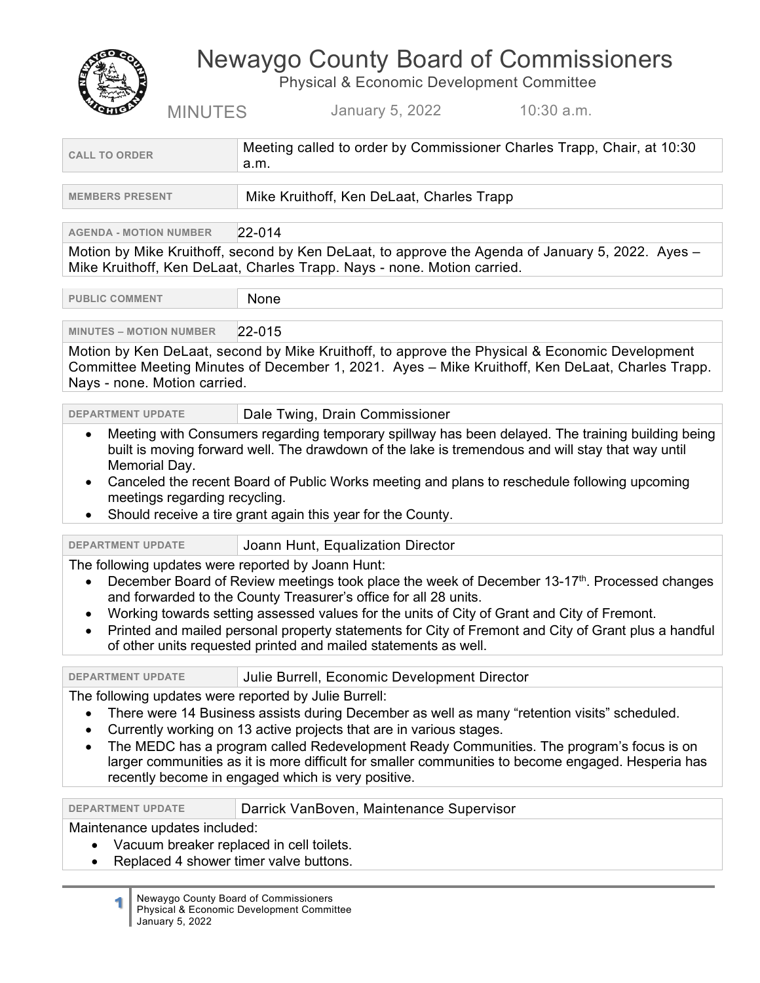# Newaygo County Board of Commissioners

Physical & Economic Development Committee MINUTES January 5, 2022 10:30 a.m.

| <b>CALL TO ORDER</b>                                                                                                                                                                                                                                                                                                                                                                                                                                                                                                                         | Meeting called to order by Commissioner Charles Trapp, Chair, at 10:30<br>a.m.                                                                                                                                                                                   |  |
|----------------------------------------------------------------------------------------------------------------------------------------------------------------------------------------------------------------------------------------------------------------------------------------------------------------------------------------------------------------------------------------------------------------------------------------------------------------------------------------------------------------------------------------------|------------------------------------------------------------------------------------------------------------------------------------------------------------------------------------------------------------------------------------------------------------------|--|
| <b>MEMBERS PRESENT</b>                                                                                                                                                                                                                                                                                                                                                                                                                                                                                                                       | Mike Kruithoff, Ken DeLaat, Charles Trapp                                                                                                                                                                                                                        |  |
| <b>AGENDA - MOTION NUMBER</b>                                                                                                                                                                                                                                                                                                                                                                                                                                                                                                                | $22 - 014$                                                                                                                                                                                                                                                       |  |
|                                                                                                                                                                                                                                                                                                                                                                                                                                                                                                                                              | Motion by Mike Kruithoff, second by Ken DeLaat, to approve the Agenda of January 5, 2022. Ayes -<br>Mike Kruithoff, Ken DeLaat, Charles Trapp. Nays - none. Motion carried.                                                                                      |  |
| <b>PUBLIC COMMENT</b>                                                                                                                                                                                                                                                                                                                                                                                                                                                                                                                        | None                                                                                                                                                                                                                                                             |  |
| <b>MINUTES - MOTION NUMBER</b>                                                                                                                                                                                                                                                                                                                                                                                                                                                                                                               | $ 22 - 015 $                                                                                                                                                                                                                                                     |  |
| Motion by Ken DeLaat, second by Mike Kruithoff, to approve the Physical & Economic Development<br>Committee Meeting Minutes of December 1, 2021. Ayes - Mike Kruithoff, Ken DeLaat, Charles Trapp.<br>Nays - none. Motion carried.                                                                                                                                                                                                                                                                                                           |                                                                                                                                                                                                                                                                  |  |
| <b>DEPARTMENT UPDATE</b>                                                                                                                                                                                                                                                                                                                                                                                                                                                                                                                     | Dale Twing, Drain Commissioner                                                                                                                                                                                                                                   |  |
| Memorial Day.<br>$\bullet$<br>meetings regarding recycling.<br>٠                                                                                                                                                                                                                                                                                                                                                                                                                                                                             | built is moving forward well. The drawdown of the lake is tremendous and will stay that way until<br>Canceled the recent Board of Public Works meeting and plans to reschedule following upcoming<br>Should receive a tire grant again this year for the County. |  |
| <b>DEPARTMENT UPDATE</b>                                                                                                                                                                                                                                                                                                                                                                                                                                                                                                                     | Joann Hunt, Equalization Director                                                                                                                                                                                                                                |  |
| The following updates were reported by Joann Hunt:<br>December Board of Review meetings took place the week of December 13-17 <sup>th</sup> . Processed changes<br>$\bullet$<br>and forwarded to the County Treasurer's office for all 28 units.<br>Working towards setting assessed values for the units of City of Grant and City of Fremont.<br>٠<br>Printed and mailed personal property statements for City of Fremont and City of Grant plus a handful<br>$\bullet$<br>of other units requested printed and mailed statements as well. |                                                                                                                                                                                                                                                                  |  |
| <b>DEPARTMENT UPDATE</b>                                                                                                                                                                                                                                                                                                                                                                                                                                                                                                                     | Julie Burrell, Economic Development Director                                                                                                                                                                                                                     |  |
| The following updates were reported by Julie Burrell:<br>There were 14 Business assists during December as well as many "retention visits" scheduled.<br>Currently working on 13 active projects that are in various stages.<br>The MEDC has a program called Redevelopment Ready Communities. The program's focus is on<br>larger communities as it is more difficult for smaller communities to become engaged. Hesperia has<br>recently become in engaged which is very positive.                                                         |                                                                                                                                                                                                                                                                  |  |
| <b>DEPARTMENT UPDATE</b>                                                                                                                                                                                                                                                                                                                                                                                                                                                                                                                     | Darrick VanBoven, Maintenance Supervisor                                                                                                                                                                                                                         |  |
| Maintenance updates included:<br>Vacuum breaker replaced in cell toilets.<br>Replaced 4 shower timer valve buttons.                                                                                                                                                                                                                                                                                                                                                                                                                          |                                                                                                                                                                                                                                                                  |  |

**1** Newaygo County Board of Commissioners Physical & Economic Development Committee January 5, 2022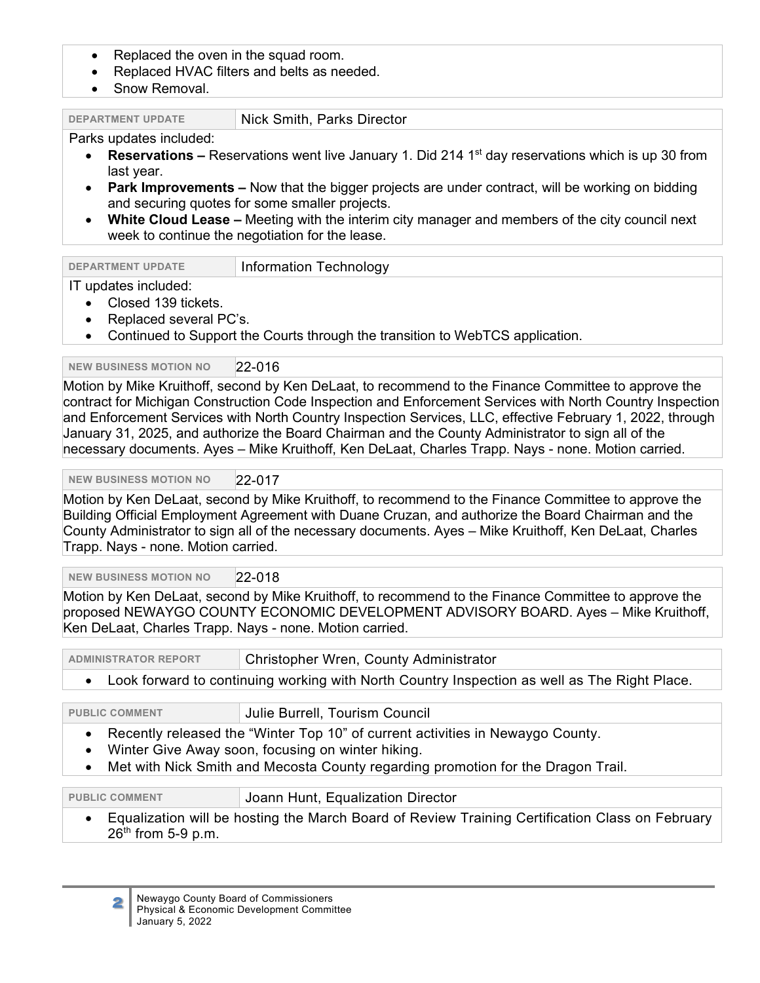- Replaced the oven in the squad room.
- Replaced HVAC filters and belts as needed.
- Snow Removal.

| Nick Smith, Parks Director<br><b>DEPARTMENT UPDATE</b> |  |
|--------------------------------------------------------|--|
|--------------------------------------------------------|--|

#### Parks updates included:

- **Reservations** Reservations went live January 1. Did 214 1<sup>st</sup> day reservations which is up 30 from last year.
- **Park Improvements –** Now that the bigger projects are under contract, will be working on bidding and securing quotes for some smaller projects.
- **White Cloud Lease –** Meeting with the interim city manager and members of the city council next week to continue the negotiation for the lease.

| <b>DEPARTMENT UPDATE</b> | Information Technology |
|--------------------------|------------------------|
| IT undates included:     |                        |

# updates included:

- Closed 139 tickets.
- Replaced several PC's.
- Continued to Support the Courts through the transition to WebTCS application.

# **NEW BUSINESS MOTION NO** 22-016

Motion by Mike Kruithoff, second by Ken DeLaat, to recommend to the Finance Committee to approve the contract for Michigan Construction Code Inspection and Enforcement Services with North Country Inspection and Enforcement Services with North Country Inspection Services, LLC, effective February 1, 2022, through January 31, 2025, and authorize the Board Chairman and the County Administrator to sign all of the necessary documents. Ayes – Mike Kruithoff, Ken DeLaat, Charles Trapp. Nays - none. Motion carried.

#### **NEW BUSINESS MOTION NO** 22-017

Motion by Ken DeLaat, second by Mike Kruithoff, to recommend to the Finance Committee to approve the Building Official Employment Agreement with Duane Cruzan, and authorize the Board Chairman and the County Administrator to sign all of the necessary documents. Ayes – Mike Kruithoff, Ken DeLaat, Charles Trapp. Nays - none. Motion carried.

#### **NEW BUSINESS MOTION NO** 22-018

Motion by Ken DeLaat, second by Mike Kruithoff, to recommend to the Finance Committee to approve the proposed NEWAYGO COUNTY ECONOMIC DEVELOPMENT ADVISORY BOARD. Ayes – Mike Kruithoff, Ken DeLaat, Charles Trapp. Nays - none. Motion carried.

**ADMINISTRATOR REPORT** Christopher Wren, County Administrator

• Look forward to continuing working with North Country Inspection as well as The Right Place.

**PUBLIC COMMENT** Julie Burrell, Tourism Council

- Recently released the "Winter Top 10" of current activities in Newaygo County.
- Winter Give Away soon, focusing on winter hiking.
- Met with Nick Smith and Mecosta County regarding promotion for the Dragon Trail.

# **PUBLIC COMMENT** Joann Hunt, Equalization Director

• Equalization will be hosting the March Board of Review Training Certification Class on February  $26<sup>th</sup>$  from 5-9 p.m.